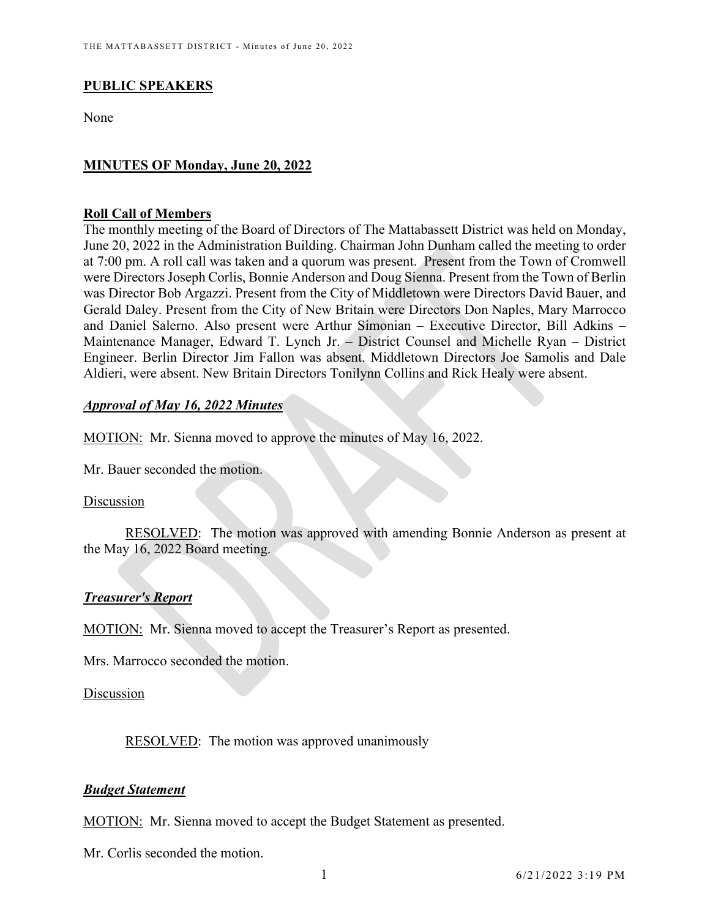# **PUBLIC SPEAKERS**

None

# **MINUTES OF Monday, June 20, 2022**

### **Roll Call of Members**

The monthly meeting of the Board of Directors of The Mattabassett District was held on Monday, June 20, 2022 in the Administration Building. Chairman John Dunham called the meeting to order at 7:00 pm. A roll call was taken and a quorum was present. Present from the Town of Cromwell were Directors Joseph Corlis, Bonnie Anderson and Doug Sienna. Present from the Town of Berlin was Director Bob Argazzi. Present from the City of Middletown were Directors David Bauer, and Gerald Daley. Present from the City of New Britain were Directors Don Naples, Mary Marrocco and Daniel Salerno. Also present were Arthur Simonian – Executive Director, Bill Adkins – Maintenance Manager, Edward T. Lynch Jr. – District Counsel and Michelle Ryan – District Engineer. Berlin Director Jim Fallon was absent. Middletown Directors Joe Samolis and Dale Aldieri, were absent. New Britain Directors Tonilynn Collins and Rick Healy were absent.

## *Approval of May 16, 2022 Minutes*

MOTION: Mr. Sienna moved to approve the minutes of May 16, 2022.

Mr. Bauer seconded the motion.

### Discussion

RESOLVED: The motion was approved with amending Bonnie Anderson as present at the May 16, 2022 Board meeting.

# *Treasurer's Report*

MOTION: Mr. Sienna moved to accept the Treasurer's Report as presented.

Mrs. Marrocco seconded the motion.

### Discussion

RESOLVED: The motion was approved unanimously

## *Budget Statement*

MOTION: Mr. Sienna moved to accept the Budget Statement as presented.

Mr. Corlis seconded the motion.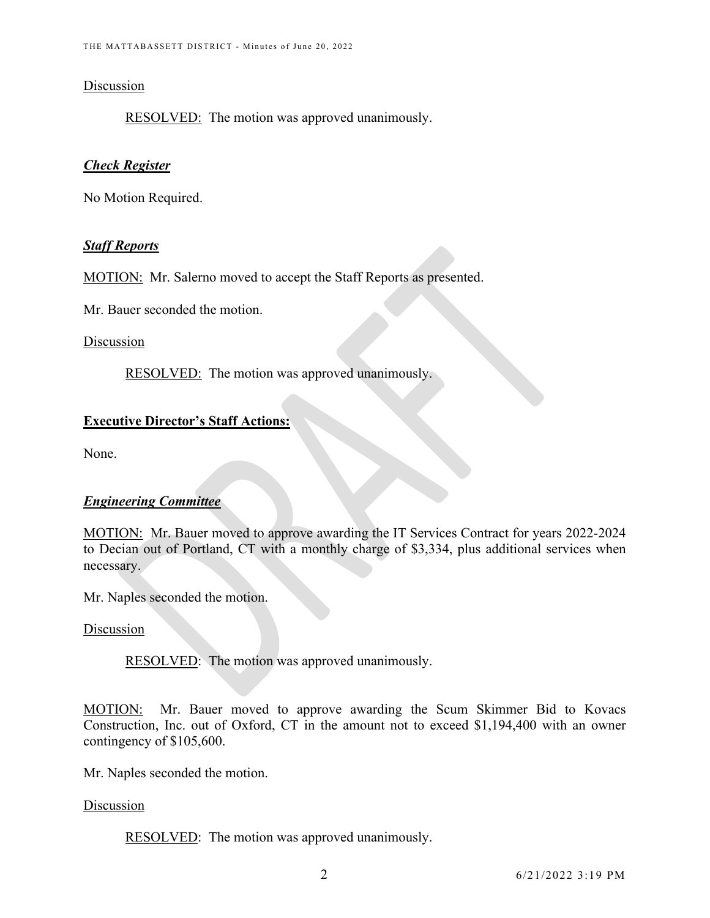### Discussion

RESOLVED: The motion was approved unanimously.

# *Check Register*

No Motion Required.

## *Staff Reports*

MOTION: Mr. Salerno moved to accept the Staff Reports as presented.

Mr. Bauer seconded the motion.

# Discussion

RESOLVED: The motion was approved unanimously.

# **Executive Director's Staff Actions:**

None.

# *Engineering Committee*

MOTION: Mr. Bauer moved to approve awarding the IT Services Contract for years 2022-2024 to Decian out of Portland, CT with a monthly charge of \$3,334, plus additional services when necessary.

Mr. Naples seconded the motion.

## Discussion

RESOLVED: The motion was approved unanimously.

MOTION: Mr. Bauer moved to approve awarding the Scum Skimmer Bid to Kovacs Construction, Inc. out of Oxford, CT in the amount not to exceed \$1,194,400 with an owner contingency of \$105,600.

Mr. Naples seconded the motion.

### Discussion

RESOLVED: The motion was approved unanimously.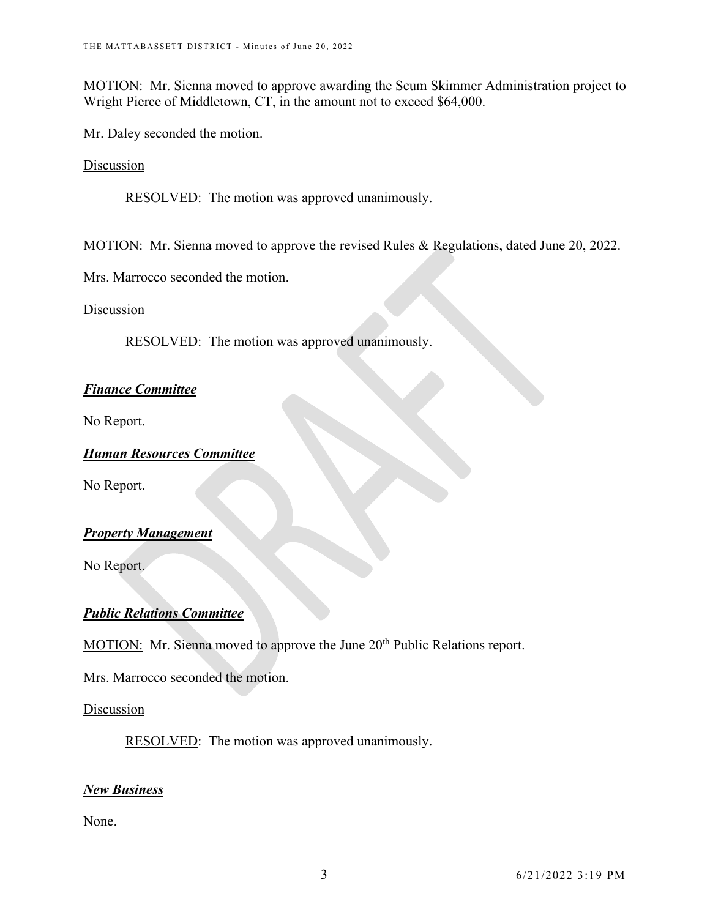MOTION: Mr. Sienna moved to approve awarding the Scum Skimmer Administration project to Wright Pierce of Middletown, CT, in the amount not to exceed \$64,000.

Mr. Daley seconded the motion.

**Discussion** 

RESOLVED: The motion was approved unanimously.

MOTION: Mr. Sienna moved to approve the revised Rules & Regulations, dated June 20, 2022.

Mrs. Marrocco seconded the motion.

Discussion

RESOLVED: The motion was approved unanimously.

## *Finance Committee*

No Report.

*Human Resources Committee*

No Report.

### *Property Management*

No Report.

## *Public Relations Committee*

MOTION: Mr. Sienna moved to approve the June 20<sup>th</sup> Public Relations report.

Mrs. Marrocco seconded the motion.

### Discussion

RESOLVED: The motion was approved unanimously.

## *New Business*

None.